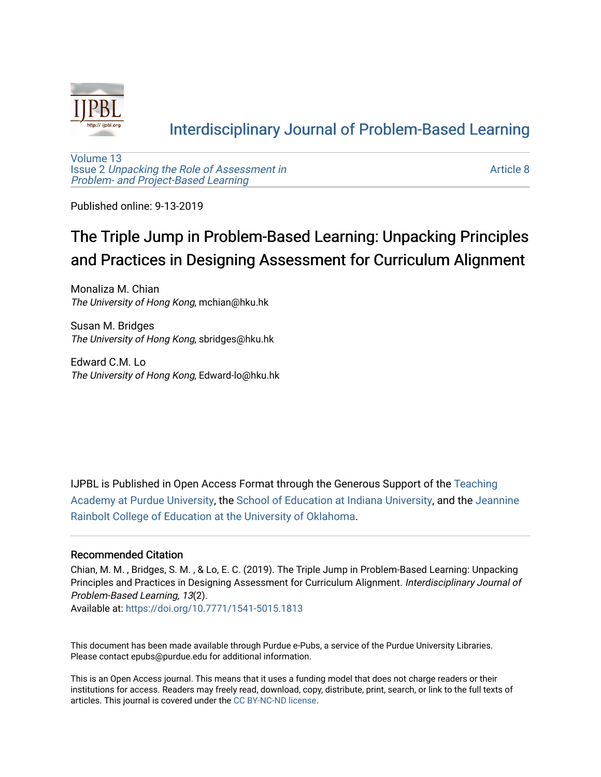

# [Interdisciplinary Journal of Problem-Based Learning](https://docs.lib.purdue.edu/ijpbl)

[Volume 13](https://docs.lib.purdue.edu/ijpbl/vol13) Issue 2 [Unpacking the Role of Assessment in](https://docs.lib.purdue.edu/ijpbl/vol13/iss2)  [Problem- and Project-Based Learning](https://docs.lib.purdue.edu/ijpbl/vol13/iss2)

[Article 8](https://docs.lib.purdue.edu/ijpbl/vol13/iss2/8) 

Published online: 9-13-2019

# The Triple Jump in Problem-Based Learning: Unpacking Principles and Practices in Designing Assessment for Curriculum Alignment

Monaliza M. Chian The University of Hong Kong, mchian@hku.hk

Susan M. Bridges The University of Hong Kong, sbridges@hku.hk

Edward C.M. Lo The University of Hong Kong, Edward-lo@hku.hk

IJPBL is Published in Open Access Format through the Generous Support of the [Teaching](https://www.purdue.edu/cie/aboutus/teachingacademy.html) [Academy at Purdue University](https://www.purdue.edu/cie/aboutus/teachingacademy.html), the [School of Education at Indiana University,](https://education.indiana.edu/index.html) and the [Jeannine](http://ou.edu/education) [Rainbolt College of Education at the University of Oklahoma](http://ou.edu/education).

#### Recommended Citation

Chian, M. M. , Bridges, S. M. , & Lo, E. C. (2019). The Triple Jump in Problem-Based Learning: Unpacking Principles and Practices in Designing Assessment for Curriculum Alignment. Interdisciplinary Journal of Problem-Based Learning, 13(2).

Available at:<https://doi.org/10.7771/1541-5015.1813>

This document has been made available through Purdue e-Pubs, a service of the Purdue University Libraries. Please contact epubs@purdue.edu for additional information.

This is an Open Access journal. This means that it uses a funding model that does not charge readers or their institutions for access. Readers may freely read, download, copy, distribute, print, search, or link to the full texts of articles. This journal is covered under the [CC BY-NC-ND license](https://creativecommons.org/licenses/by-nc-nd/4.0/).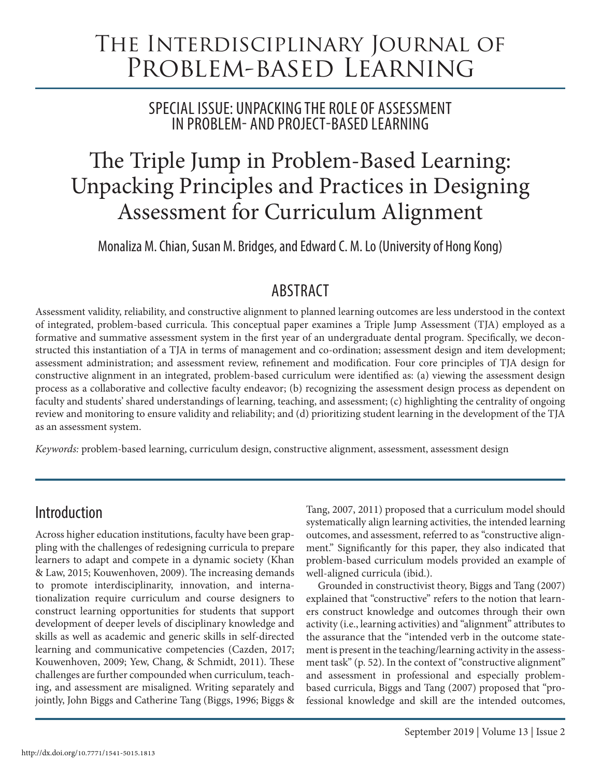# The Interdisciplinary Journal of Problem-based Learning

SPECIAL ISSUE: UNPACKING THE ROLE OF ASSESSMENT IN PROBLEM- AND PROJECT-BASED LEARNING

# The Triple Jump in Problem-Based Learning: Unpacking Principles and Practices in Designing Assessment for Curriculum Alignment

Monaliza M. Chian, Susan M. Bridges, and Edward C. M. Lo (University of Hong Kong)

# **ABSTRACT**

Assessment validity, reliability, and constructive alignment to planned learning outcomes are less understood in the context of integrated, problem-based curricula. This conceptual paper examines a Triple Jump Assessment (TJA) employed as a formative and summative assessment system in the first year of an undergraduate dental program. Specifically, we deconstructed this instantiation of a TJA in terms of management and co-ordination; assessment design and item development; assessment administration; and assessment review, refinement and modification. Four core principles of TJA design for constructive alignment in an integrated, problem-based curriculum were identified as: (a) viewing the assessment design process as a collaborative and collective faculty endeavor; (b) recognizing the assessment design process as dependent on faculty and students' shared understandings of learning, teaching, and assessment; (c) highlighting the centrality of ongoing review and monitoring to ensure validity and reliability; and (d) prioritizing student learning in the development of the TJA as an assessment system.

*Keywords:* problem-based learning, curriculum design, constructive alignment, assessment, assessment design

# Introduction

Across higher education institutions, faculty have been grappling with the challenges of redesigning curricula to prepare learners to adapt and compete in a dynamic society (Khan & Law, 2015; Kouwenhoven, 2009). The increasing demands to promote interdisciplinarity, innovation, and internationalization require curriculum and course designers to construct learning opportunities for students that support development of deeper levels of disciplinary knowledge and skills as well as academic and generic skills in self-directed learning and communicative competencies (Cazden, 2017; Kouwenhoven, 2009; Yew, Chang, & Schmidt, 2011). These challenges are further compounded when curriculum, teaching, and assessment are misaligned. Writing separately and jointly, John Biggs and Catherine Tang (Biggs, 1996; Biggs &

Tang, 2007, 2011) proposed that a curriculum model should systematically align learning activities, the intended learning outcomes, and assessment, referred to as "constructive alignment." Significantly for this paper, they also indicated that problem-based curriculum models provided an example of well-aligned curricula (ibid.).

Grounded in constructivist theory, Biggs and Tang (2007) explained that "constructive" refers to the notion that learners construct knowledge and outcomes through their own activity (i.e., learning activities) and "alignment" attributes to the assurance that the "intended verb in the outcome statement is present in the teaching/learning activity in the assessment task" (p. 52). In the context of "constructive alignment" and assessment in professional and especially problembased curricula, Biggs and Tang (2007) proposed that "professional knowledge and skill are the intended outcomes,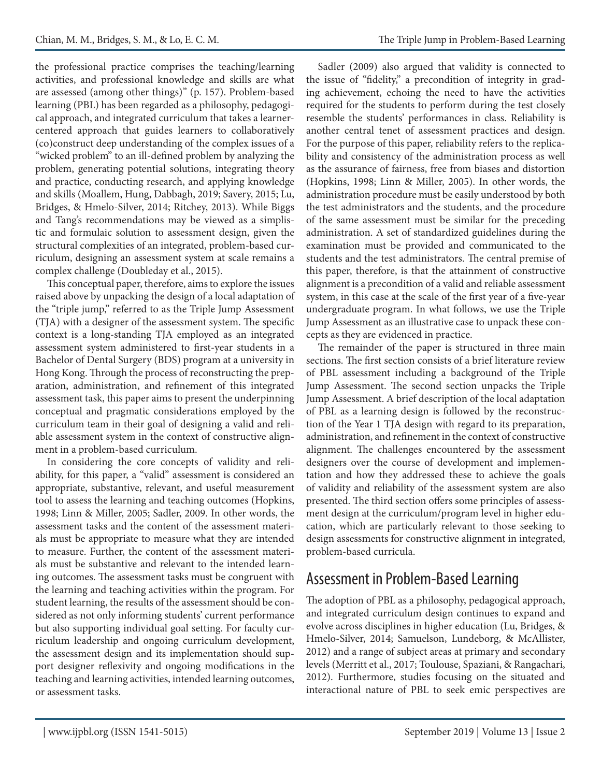the professional practice comprises the teaching/learning activities, and professional knowledge and skills are what are assessed (among other things)" (p. 157). Problem-based learning (PBL) has been regarded as a philosophy, pedagogical approach, and integrated curriculum that takes a learnercentered approach that guides learners to collaboratively (co)construct deep understanding of the complex issues of a "wicked problem" to an ill-defined problem by analyzing the problem, generating potential solutions, integrating theory and practice, conducting research, and applying knowledge and skills (Moallem, Hung, Dabbagh, 2019; Savery, 2015; Lu, Bridges, & Hmelo-Silver, 2014; Ritchey, 2013). While Biggs and Tang's recommendations may be viewed as a simplistic and formulaic solution to assessment design, given the structural complexities of an integrated, problem-based curriculum, designing an assessment system at scale remains a complex challenge (Doubleday et al., 2015).

This conceptual paper, therefore, aims to explore the issues raised above by unpacking the design of a local adaptation of the "triple jump," referred to as the Triple Jump Assessment (TJA) with a designer of the assessment system. The specific context is a long-standing TJA employed as an integrated assessment system administered to first-year students in a Bachelor of Dental Surgery (BDS) program at a university in Hong Kong. Through the process of reconstructing the preparation, administration, and refinement of this integrated assessment task, this paper aims to present the underpinning conceptual and pragmatic considerations employed by the curriculum team in their goal of designing a valid and reliable assessment system in the context of constructive alignment in a problem-based curriculum.

In considering the core concepts of validity and reliability, for this paper, a "valid" assessment is considered an appropriate, substantive, relevant, and useful measurement tool to assess the learning and teaching outcomes (Hopkins, 1998; Linn & Miller, 2005; Sadler, 2009. In other words, the assessment tasks and the content of the assessment materials must be appropriate to measure what they are intended to measure. Further, the content of the assessment materials must be substantive and relevant to the intended learning outcomes. The assessment tasks must be congruent with the learning and teaching activities within the program. For student learning, the results of the assessment should be considered as not only informing students' current performance but also supporting individual goal setting. For faculty curriculum leadership and ongoing curriculum development, the assessment design and its implementation should support designer reflexivity and ongoing modifications in the teaching and learning activities, intended learning outcomes, or assessment tasks.

Sadler (2009) also argued that validity is connected to the issue of "fidelity," a precondition of integrity in grading achievement, echoing the need to have the activities required for the students to perform during the test closely resemble the students' performances in class. Reliability is another central tenet of assessment practices and design. For the purpose of this paper, reliability refers to the replicability and consistency of the administration process as well as the assurance of fairness, free from biases and distortion (Hopkins, 1998; Linn & Miller, 2005). In other words, the administration procedure must be easily understood by both the test administrators and the students, and the procedure of the same assessment must be similar for the preceding administration. A set of standardized guidelines during the examination must be provided and communicated to the students and the test administrators. The central premise of this paper, therefore, is that the attainment of constructive alignment is a precondition of a valid and reliable assessment system, in this case at the scale of the first year of a five-year undergraduate program. In what follows, we use the Triple Jump Assessment as an illustrative case to unpack these concepts as they are evidenced in practice.

The remainder of the paper is structured in three main sections. The first section consists of a brief literature review of PBL assessment including a background of the Triple Jump Assessment. The second section unpacks the Triple Jump Assessment. A brief description of the local adaptation of PBL as a learning design is followed by the reconstruction of the Year 1 TJA design with regard to its preparation, administration, and refinement in the context of constructive alignment. The challenges encountered by the assessment designers over the course of development and implementation and how they addressed these to achieve the goals of validity and reliability of the assessment system are also presented. The third section offers some principles of assessment design at the curriculum/program level in higher education, which are particularly relevant to those seeking to design assessments for constructive alignment in integrated, problem-based curricula.

# Assessment in Problem-Based Learning

The adoption of PBL as a philosophy, pedagogical approach, and integrated curriculum design continues to expand and evolve across disciplines in higher education (Lu, Bridges, & Hmelo-Silver, 2014; Samuelson, Lundeborg, & McAllister, 2012) and a range of subject areas at primary and secondary levels (Merritt et al., 2017; Toulouse, Spaziani, & Rangachari, 2012). Furthermore, studies focusing on the situated and interactional nature of PBL to seek emic perspectives are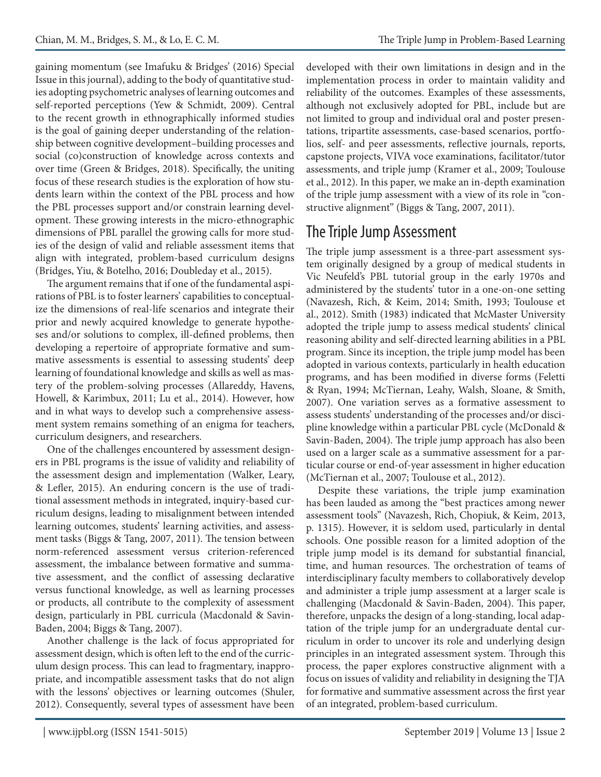gaining momentum (see Imafuku & Bridges' (2016) Special Issue in this journal), adding to the body of quantitative studies adopting psychometric analyses of learning outcomes and self-reported perceptions (Yew & Schmidt, 2009). Central to the recent growth in ethnographically informed studies is the goal of gaining deeper understanding of the relationship between cognitive development–building processes and social (co)construction of knowledge across contexts and over time (Green & Bridges, 2018). Specifically, the uniting focus of these research studies is the exploration of how students learn within the context of the PBL process and how the PBL processes support and/or constrain learning development. These growing interests in the micro-ethnographic dimensions of PBL parallel the growing calls for more studies of the design of valid and reliable assessment items that align with integrated, problem-based curriculum designs (Bridges, Yiu, & Botelho, 2016; Doubleday et al., 2015).

The argument remains that if one of the fundamental aspirations of PBL is to foster learners' capabilities to conceptualize the dimensions of real-life scenarios and integrate their prior and newly acquired knowledge to generate hypotheses and/or solutions to complex, ill-defined problems, then developing a repertoire of appropriate formative and summative assessments is essential to assessing students' deep learning of foundational knowledge and skills as well as mastery of the problem-solving processes (Allareddy, Havens, Howell, & Karimbux, 2011; Lu et al., 2014). However, how and in what ways to develop such a comprehensive assessment system remains something of an enigma for teachers, curriculum designers, and researchers.

One of the challenges encountered by assessment designers in PBL programs is the issue of validity and reliability of the assessment design and implementation (Walker, Leary, & Lefler, 2015). An enduring concern is the use of traditional assessment methods in integrated, inquiry-based curriculum designs, leading to misalignment between intended learning outcomes, students' learning activities, and assessment tasks (Biggs & Tang, 2007, 2011). The tension between norm-referenced assessment versus criterion-referenced assessment, the imbalance between formative and summative assessment, and the conflict of assessing declarative versus functional knowledge, as well as learning processes or products, all contribute to the complexity of assessment design, particularly in PBL curricula (Macdonald & Savin-Baden, 2004; Biggs & Tang, 2007).

Another challenge is the lack of focus appropriated for assessment design, which is often left to the end of the curriculum design process. This can lead to fragmentary, inappropriate, and incompatible assessment tasks that do not align with the lessons' objectives or learning outcomes (Shuler, 2012). Consequently, several types of assessment have been developed with their own limitations in design and in the implementation process in order to maintain validity and reliability of the outcomes. Examples of these assessments, although not exclusively adopted for PBL, include but are not limited to group and individual oral and poster presentations, tripartite assessments, case-based scenarios, portfolios, self- and peer assessments, reflective journals, reports, capstone projects, VIVA voce examinations, facilitator/tutor assessments, and triple jump (Kramer et al., 2009; Toulouse et al., 2012). In this paper, we make an in-depth examination of the triple jump assessment with a view of its role in "constructive alignment" (Biggs & Tang, 2007, 2011).

# The Triple Jump Assessment

The triple jump assessment is a three-part assessment system originally designed by a group of medical students in Vic Neufeld's PBL tutorial group in the early 1970s and administered by the students' tutor in a one-on-one setting (Navazesh, Rich, & Keim, 2014; Smith, 1993; Toulouse et al., 2012). Smith (1983) indicated that McMaster University adopted the triple jump to assess medical students' clinical reasoning ability and self-directed learning abilities in a PBL program. Since its inception, the triple jump model has been adopted in various contexts, particularly in health education programs, and has been modified in diverse forms (Feletti & Ryan, 1994; McTiernan, Leahy, Walsh, Sloane, & Smith, 2007). One variation serves as a formative assessment to assess students' understanding of the processes and/or discipline knowledge within a particular PBL cycle (McDonald & Savin-Baden, 2004). The triple jump approach has also been used on a larger scale as a summative assessment for a particular course or end-of-year assessment in higher education (McTiernan et al., 2007; Toulouse et al., 2012).

Despite these variations, the triple jump examination has been lauded as among the "best practices among newer assessment tools" (Navazesh, Rich, Chopiuk, & Keim, 2013, p. 1315). However, it is seldom used, particularly in dental schools. One possible reason for a limited adoption of the triple jump model is its demand for substantial financial, time, and human resources. The orchestration of teams of interdisciplinary faculty members to collaboratively develop and administer a triple jump assessment at a larger scale is challenging (Macdonald & Savin-Baden, 2004). This paper, therefore, unpacks the design of a long-standing, local adaptation of the triple jump for an undergraduate dental curriculum in order to uncover its role and underlying design principles in an integrated assessment system. Through this process, the paper explores constructive alignment with a focus on issues of validity and reliability in designing the TJA for formative and summative assessment across the first year of an integrated, problem-based curriculum.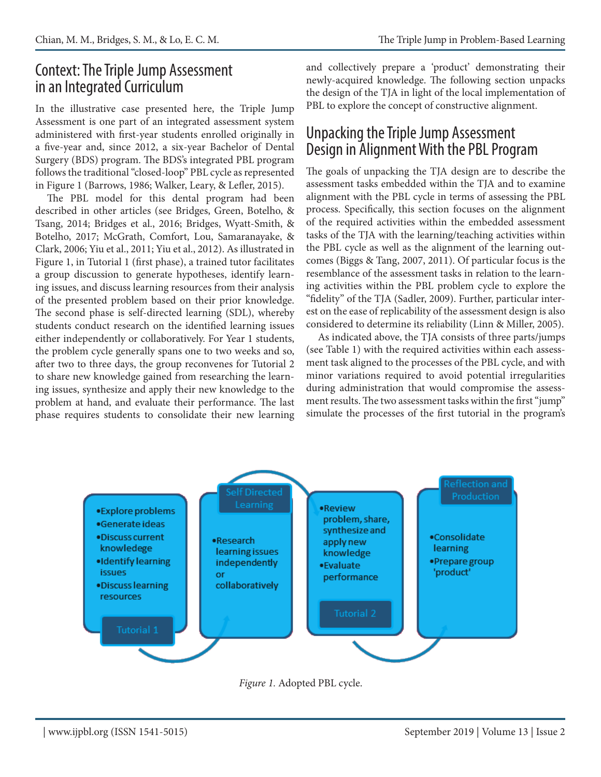# Context: The Triple Jump Assessment in an Integrated Curriculum

In the illustrative case presented here, the Triple Jump Assessment is one part of an integrated assessment system administered with first-year students enrolled originally in a five-year and, since 2012, a six-year Bachelor of Dental Surgery (BDS) program. The BDS's integrated PBL program follows the traditional "closed-loop" PBL cycle as represented in Figure 1 (Barrows, 1986; Walker, Leary, & Lefler, 2015).

The PBL model for this dental program had been described in other articles (see Bridges, Green, Botelho, & Tsang, 2014; Bridges et al., 2016; Bridges, Wyatt-Smith, & Botelho, 2017; McGrath, Comfort, Lou, Samaranayake, & Clark, 2006; Yiu et al., 2011; Yiu et al., 2012). As illustrated in Figure 1, in Tutorial 1 (first phase), a trained tutor facilitates a group discussion to generate hypotheses, identify learning issues, and discuss learning resources from their analysis of the presented problem based on their prior knowledge. The second phase is self-directed learning (SDL), whereby students conduct research on the identified learning issues either independently or collaboratively. For Year 1 students, the problem cycle generally spans one to two weeks and so, after two to three days, the group reconvenes for Tutorial 2 to share new knowledge gained from researching the learning issues, synthesize and apply their new knowledge to the problem at hand, and evaluate their performance. The last phase requires students to consolidate their new learning and collectively prepare a 'product' demonstrating their newly-acquired knowledge. The following section unpacks the design of the TJA in light of the local implementation of PBL to explore the concept of constructive alignment.

# Unpacking the Triple Jump Assessment Design in Alignment With the PBL Program

The goals of unpacking the TJA design are to describe the assessment tasks embedded within the TJA and to examine alignment with the PBL cycle in terms of assessing the PBL process. Specifically, this section focuses on the alignment of the required activities within the embedded assessment tasks of the TJA with the learning/teaching activities within the PBL cycle as well as the alignment of the learning outcomes (Biggs & Tang, 2007, 2011). Of particular focus is the resemblance of the assessment tasks in relation to the learning activities within the PBL problem cycle to explore the "fidelity" of the TJA (Sadler, 2009). Further, particular interest on the ease of replicability of the assessment design is also considered to determine its reliability (Linn & Miller, 2005).

As indicated above, the TJA consists of three parts/jumps (see Table 1) with the required activities within each assessment task aligned to the processes of the PBL cycle, and with minor variations required to avoid potential irregularities during administration that would compromise the assessment results. The two assessment tasks within the first "jump" simulate the processes of the first tutorial in the program's



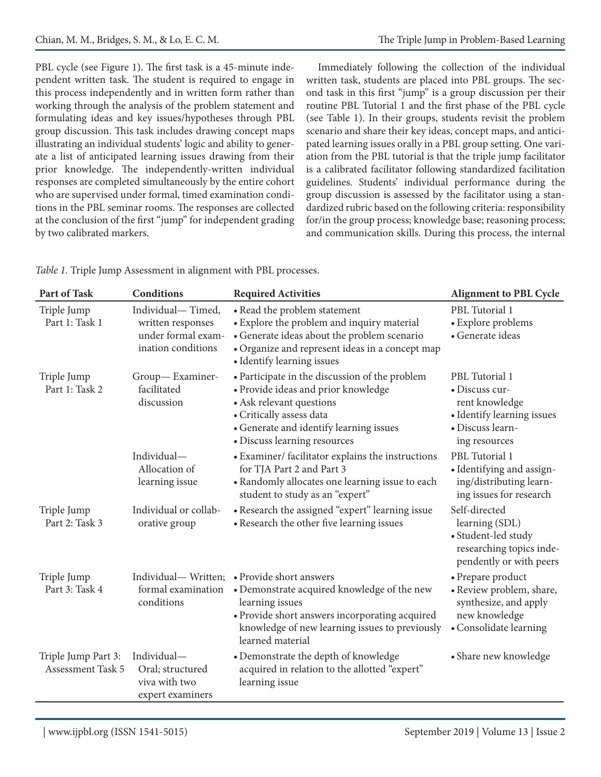PBL cycle (see Figure 1). The first task is a 45-minute independent written task. The student is required to engage in this process independently and in written form rather than working through the analysis of the problem statement and formulating ideas and key issues/hypotheses through PBL group discussion. This task includes drawing concept maps illustrating an individual students' logic and ability to generate a list of anticipated learning issues drawing from their prior knowledge. The independently-written individual responses are completed simultaneously by the entire cohort who are supervised under formal, timed examination conditions in the PBL seminar rooms. The responses are collected at the conclusion of the first "jump" for independent grading by two calibrated markers.

Immediately following the collection of the individual written task, students are placed into PBL groups. The second task in this first "jump" is a group discussion per their routine PBL Tutorial 1 and the first phase of the PBL cycle (see Table 1). In their groups, students revisit the problem scenario and share their key ideas, concept maps, and anticipated learning issues orally in a PBL group setting. One variation from the PBL tutorial is that the triple jump facilitator is a calibrated facilitator following standardized facilitation guidelines. Students' individual performance during the group discussion is assessed by the facilitator using a standardized rubric based on the following criteria: responsibility for/in the group process; knowledge base; reasoning process; and communication skills. During this process, the internal

| <b>Part of Task</b>                             | <b>Conditions</b>                                                                  | <b>Required Activities</b>                                                                                                                                                                                                             | <b>Alignment to PBL Cycle</b>                                                                                         |
|-------------------------------------------------|------------------------------------------------------------------------------------|----------------------------------------------------------------------------------------------------------------------------------------------------------------------------------------------------------------------------------------|-----------------------------------------------------------------------------------------------------------------------|
| Triple Jump<br>Part 1: Task 1                   | Individual-Timed,<br>written responses<br>under formal exam-<br>ination conditions | • Read the problem statement<br>• Explore the problem and inquiry material<br>• Generate ideas about the problem scenario<br>• Organize and represent ideas in a concept map<br>• Identify learning issues                             | PBL Tutorial 1<br>• Explore problems<br>· Generate ideas                                                              |
| Triple Jump<br>Part 1: Task 2                   | Group-Examiner-<br>facilitated<br>discussion                                       | • Participate in the discussion of the problem<br>· Provide ideas and prior knowledge<br>• Ask relevant questions<br>• Critically assess data<br>• Generate and identify learning issues<br>· Discuss learning resources               | PBL Tutorial 1<br>· Discuss cur-<br>rent knowledge<br>• Identify learning issues<br>· Discuss learn-<br>ing resources |
|                                                 | Individual-<br>Allocation of<br>learning issue                                     | • Examiner/ facilitator explains the instructions<br>for TJA Part 2 and Part 3<br>• Randomly allocates one learning issue to each<br>student to study as an "expert"                                                                   | PBL Tutorial 1<br>• Identifying and assign-<br>ing/distributing learn-<br>ing issues for research                     |
| Triple Jump<br>Part 2: Task 3                   | Individual or collab-<br>orative group                                             | • Research the assigned "expert" learning issue<br>• Research the other five learning issues                                                                                                                                           | Self-directed<br>learning (SDL)<br>• Student-led study<br>researching topics inde-<br>pendently or with peers         |
| Triple Jump<br>Part 3: Task 4                   | formal examination<br>conditions                                                   | Individual— Written; • Provide short answers<br>• Demonstrate acquired knowledge of the new<br>learning issues<br>• Provide short answers incorporating acquired<br>knowledge of new learning issues to previously<br>learned material | • Prepare product<br>· Review problem, share,<br>synthesize, and apply<br>new knowledge<br>• Consolidate learning     |
| Triple Jump Part 3:<br><b>Assessment Task 5</b> | Individual-<br>Oral; structured<br>viva with two<br>expert examiners               | • Demonstrate the depth of knowledge<br>acquired in relation to the allotted "expert"<br>learning issue                                                                                                                                | • Share new knowledge                                                                                                 |

*Table 1.* Triple Jump Assessment in alignment with PBL processes.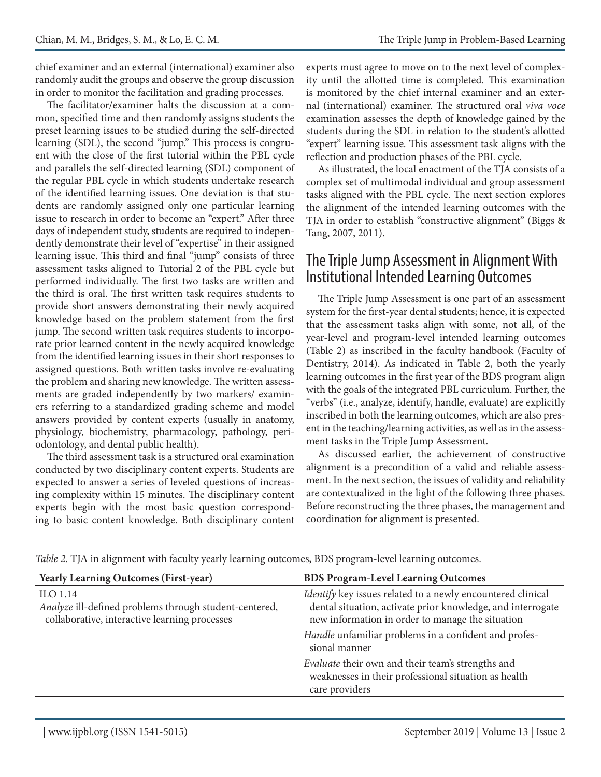chief examiner and an external (international) examiner also randomly audit the groups and observe the group discussion in order to monitor the facilitation and grading processes.

The facilitator/examiner halts the discussion at a common, specified time and then randomly assigns students the preset learning issues to be studied during the self-directed learning (SDL), the second "jump." This process is congruent with the close of the first tutorial within the PBL cycle and parallels the self-directed learning (SDL) component of the regular PBL cycle in which students undertake research of the identified learning issues. One deviation is that students are randomly assigned only one particular learning issue to research in order to become an "expert." After three days of independent study, students are required to independently demonstrate their level of "expertise" in their assigned learning issue. This third and final "jump" consists of three assessment tasks aligned to Tutorial 2 of the PBL cycle but performed individually. The first two tasks are written and the third is oral. The first written task requires students to provide short answers demonstrating their newly acquired knowledge based on the problem statement from the first jump. The second written task requires students to incorporate prior learned content in the newly acquired knowledge from the identified learning issues in their short responses to assigned questions. Both written tasks involve re-evaluating the problem and sharing new knowledge. The written assessments are graded independently by two markers/ examiners referring to a standardized grading scheme and model answers provided by content experts (usually in anatomy, physiology, biochemistry, pharmacology, pathology, periodontology, and dental public health).

The third assessment task is a structured oral examination conducted by two disciplinary content experts. Students are expected to answer a series of leveled questions of increasing complexity within 15 minutes. The disciplinary content experts begin with the most basic question corresponding to basic content knowledge. Both disciplinary content experts must agree to move on to the next level of complexity until the allotted time is completed. This examination is monitored by the chief internal examiner and an external (international) examiner. The structured oral *viva voce* examination assesses the depth of knowledge gained by the students during the SDL in relation to the student's allotted "expert" learning issue. This assessment task aligns with the reflection and production phases of the PBL cycle.

As illustrated, the local enactment of the TJA consists of a complex set of multimodal individual and group assessment tasks aligned with the PBL cycle. The next section explores the alignment of the intended learning outcomes with the TJA in order to establish "constructive alignment" (Biggs & Tang, 2007, 2011).

## The Triple Jump Assessment in Alignment With Institutional Intended Learning Outcomes

The Triple Jump Assessment is one part of an assessment system for the first-year dental students; hence, it is expected that the assessment tasks align with some, not all, of the year-level and program-level intended learning outcomes (Table 2) as inscribed in the faculty handbook (Faculty of Dentistry, 2014). As indicated in Table 2, both the yearly learning outcomes in the first year of the BDS program align with the goals of the integrated PBL curriculum. Further, the "verbs" (i.e., analyze, identify, handle, evaluate) are explicitly inscribed in both the learning outcomes, which are also present in the teaching/learning activities, as well as in the assessment tasks in the Triple Jump Assessment.

As discussed earlier, the achievement of constructive alignment is a precondition of a valid and reliable assessment. In the next section, the issues of validity and reliability are contextualized in the light of the following three phases. Before reconstructing the three phases, the management and coordination for alignment is presented.

*Table 2.* TJA in alignment with faculty yearly learning outcomes, BDS program-level learning outcomes.

| <b>Yearly Learning Outcomes (First-year)</b>                                                                        | <b>BDS Program-Level Learning Outcomes</b>                                                                                                                                     |
|---------------------------------------------------------------------------------------------------------------------|--------------------------------------------------------------------------------------------------------------------------------------------------------------------------------|
| ILO 1.14<br>Analyze ill-defined problems through student-centered,<br>collaborative, interactive learning processes | Identify key issues related to a newly encountered clinical<br>dental situation, activate prior knowledge, and interrogate<br>new information in order to manage the situation |
|                                                                                                                     | Handle unfamiliar problems in a confident and profes-<br>sional manner                                                                                                         |
|                                                                                                                     | Evaluate their own and their team's strengths and<br>weaknesses in their professional situation as health<br>care providers                                                    |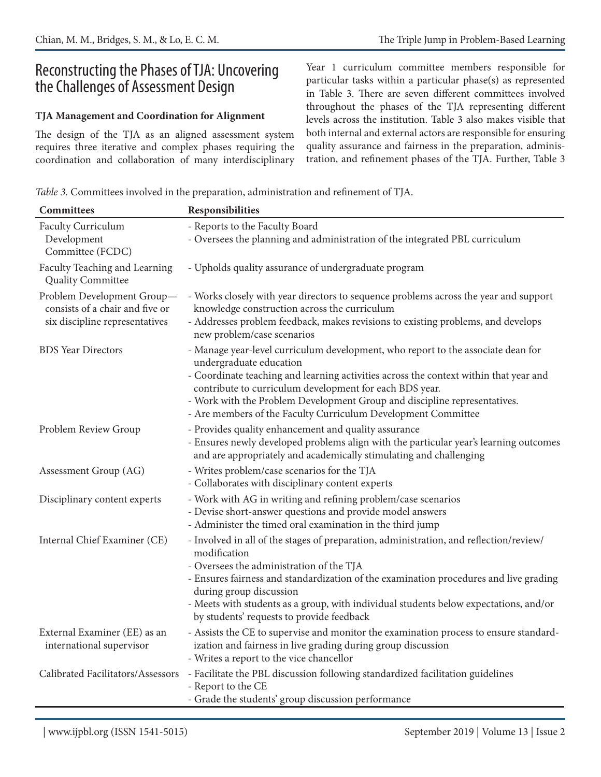# Reconstructing the Phases of TJA: Uncovering the Challenges of Assessment Design

### **TJA Management and Coordination for Alignment**

The design of the TJA as an aligned assessment system requires three iterative and complex phases requiring the coordination and collaboration of many interdisciplinary

Year 1 curriculum committee members responsible for particular tasks within a particular phase(s) as represented in Table 3. There are seven different committees involved throughout the phases of the TJA representing different levels across the institution. Table 3 also makes visible that both internal and external actors are responsible for ensuring quality assurance and fairness in the preparation, administration, and refinement phases of the TJA. Further, Table 3

*Table 3.* Committees involved in the preparation, administration and refinement of TJA.

| Committees                                                                                      | Responsibilities                                                                                                                                                                                                                                                                                                                                                                                              |
|-------------------------------------------------------------------------------------------------|---------------------------------------------------------------------------------------------------------------------------------------------------------------------------------------------------------------------------------------------------------------------------------------------------------------------------------------------------------------------------------------------------------------|
| <b>Faculty Curriculum</b><br>Development<br>Committee (FCDC)                                    | - Reports to the Faculty Board<br>- Oversees the planning and administration of the integrated PBL curriculum                                                                                                                                                                                                                                                                                                 |
| Faculty Teaching and Learning<br><b>Quality Committee</b>                                       | - Upholds quality assurance of undergraduate program                                                                                                                                                                                                                                                                                                                                                          |
| Problem Development Group-<br>consists of a chair and five or<br>six discipline representatives | - Works closely with year directors to sequence problems across the year and support<br>knowledge construction across the curriculum<br>- Addresses problem feedback, makes revisions to existing problems, and develops<br>new problem/case scenarios                                                                                                                                                        |
| <b>BDS</b> Year Directors                                                                       | - Manage year-level curriculum development, who report to the associate dean for<br>undergraduate education<br>- Coordinate teaching and learning activities across the context within that year and<br>contribute to curriculum development for each BDS year.<br>- Work with the Problem Development Group and discipline representatives.<br>- Are members of the Faculty Curriculum Development Committee |
| Problem Review Group                                                                            | - Provides quality enhancement and quality assurance<br>- Ensures newly developed problems align with the particular year's learning outcomes<br>and are appropriately and academically stimulating and challenging                                                                                                                                                                                           |
| Assessment Group (AG)                                                                           | - Writes problem/case scenarios for the TJA<br>- Collaborates with disciplinary content experts                                                                                                                                                                                                                                                                                                               |
| Disciplinary content experts                                                                    | - Work with AG in writing and refining problem/case scenarios<br>- Devise short-answer questions and provide model answers<br>- Administer the timed oral examination in the third jump                                                                                                                                                                                                                       |
| Internal Chief Examiner (CE)                                                                    | - Involved in all of the stages of preparation, administration, and reflection/review/<br>modification<br>- Oversees the administration of the TJA<br>- Ensures fairness and standardization of the examination procedures and live grading<br>during group discussion<br>- Meets with students as a group, with individual students below expectations, and/or<br>by students' requests to provide feedback  |
| External Examiner (EE) as an<br>international supervisor                                        | - Assists the CE to supervise and monitor the examination process to ensure standard-<br>ization and fairness in live grading during group discussion<br>- Writes a report to the vice chancellor                                                                                                                                                                                                             |
| Calibrated Facilitators/Assessors                                                               | - Facilitate the PBL discussion following standardized facilitation guidelines<br>- Report to the CE<br>- Grade the students' group discussion performance                                                                                                                                                                                                                                                    |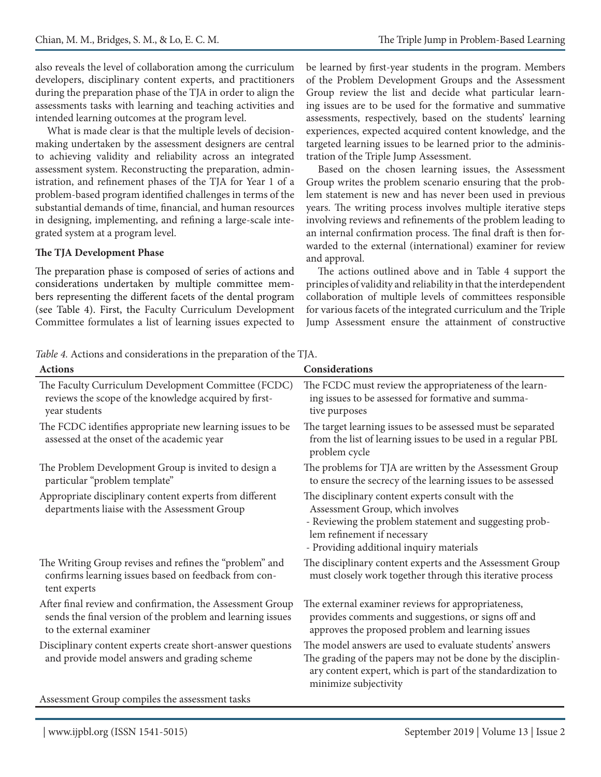also reveals the level of collaboration among the curriculum developers, disciplinary content experts, and practitioners during the preparation phase of the TJA in order to align the assessments tasks with learning and teaching activities and intended learning outcomes at the program level.

What is made clear is that the multiple levels of decisionmaking undertaken by the assessment designers are central to achieving validity and reliability across an integrated assessment system. Reconstructing the preparation, administration, and refinement phases of the TJA for Year 1 of a problem-based program identified challenges in terms of the substantial demands of time, financial, and human resources in designing, implementing, and refining a large-scale integrated system at a program level.

#### **The TJA Development Phase**

The preparation phase is composed of series of actions and considerations undertaken by multiple committee members representing the different facets of the dental program (see Table 4). First, the Faculty Curriculum Development Committee formulates a list of learning issues expected to be learned by first-year students in the program. Members of the Problem Development Groups and the Assessment Group review the list and decide what particular learning issues are to be used for the formative and summative assessments, respectively, based on the students' learning experiences, expected acquired content knowledge, and the targeted learning issues to be learned prior to the administration of the Triple Jump Assessment.

Based on the chosen learning issues, the Assessment Group writes the problem scenario ensuring that the problem statement is new and has never been used in previous years. The writing process involves multiple iterative steps involving reviews and refinements of the problem leading to an internal confirmation process. The final draft is then forwarded to the external (international) examiner for review and approval.

The actions outlined above and in Table 4 support the principles of validity and reliability in that the interdependent collaboration of multiple levels of committees responsible for various facets of the integrated curriculum and the Triple Jump Assessment ensure the attainment of constructive

*Table 4.* Actions and considerations in the preparation of the TJA.

| <b>Actions</b>                                                                                                                                      | Considerations                                                                                                                                                                                                             |
|-----------------------------------------------------------------------------------------------------------------------------------------------------|----------------------------------------------------------------------------------------------------------------------------------------------------------------------------------------------------------------------------|
| The Faculty Curriculum Development Committee (FCDC)<br>reviews the scope of the knowledge acquired by first-<br>year students                       | The FCDC must review the appropriateness of the learn-<br>ing issues to be assessed for formative and summa-<br>tive purposes                                                                                              |
| The FCDC identifies appropriate new learning issues to be<br>assessed at the onset of the academic year                                             | The target learning issues to be assessed must be separated<br>from the list of learning issues to be used in a regular PBL<br>problem cycle                                                                               |
| The Problem Development Group is invited to design a<br>particular "problem template"                                                               | The problems for TJA are written by the Assessment Group<br>to ensure the secrecy of the learning issues to be assessed                                                                                                    |
| Appropriate disciplinary content experts from different<br>departments liaise with the Assessment Group                                             | The disciplinary content experts consult with the<br>Assessment Group, which involves<br>- Reviewing the problem statement and suggesting prob-<br>lem refinement if necessary<br>- Providing additional inquiry materials |
| The Writing Group revises and refines the "problem" and<br>confirms learning issues based on feedback from con-<br>tent experts                     | The disciplinary content experts and the Assessment Group<br>must closely work together through this iterative process                                                                                                     |
| After final review and confirmation, the Assessment Group<br>sends the final version of the problem and learning issues<br>to the external examiner | The external examiner reviews for appropriateness,<br>provides comments and suggestions, or signs off and<br>approves the proposed problem and learning issues                                                             |
| Disciplinary content experts create short-answer questions<br>and provide model answers and grading scheme                                          | The model answers are used to evaluate students' answers<br>The grading of the papers may not be done by the disciplin-<br>ary content expert, which is part of the standardization to<br>minimize subjectivity            |
| Assessment Group compiles the assessment tasks                                                                                                      |                                                                                                                                                                                                                            |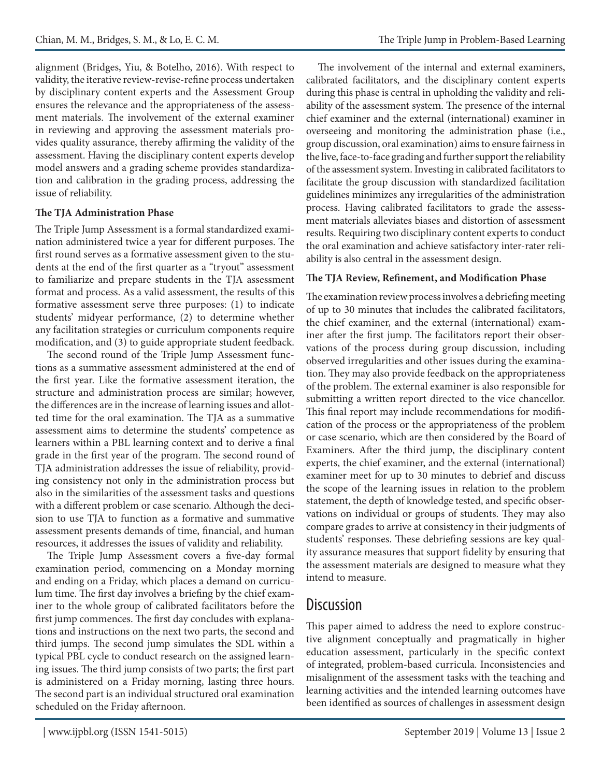alignment (Bridges, Yiu, & Botelho, 2016). With respect to validity, the iterative review-revise-refine process undertaken by disciplinary content experts and the Assessment Group ensures the relevance and the appropriateness of the assessment materials. The involvement of the external examiner in reviewing and approving the assessment materials provides quality assurance, thereby affirming the validity of the assessment. Having the disciplinary content experts develop model answers and a grading scheme provides standardization and calibration in the grading process, addressing the issue of reliability.

### **The TJA Administration Phase**

The Triple Jump Assessment is a formal standardized examination administered twice a year for different purposes. The first round serves as a formative assessment given to the students at the end of the first quarter as a "tryout" assessment to familiarize and prepare students in the TJA assessment format and process. As a valid assessment, the results of this formative assessment serve three purposes: (1) to indicate students' midyear performance, (2) to determine whether any facilitation strategies or curriculum components require modification, and (3) to guide appropriate student feedback.

The second round of the Triple Jump Assessment functions as a summative assessment administered at the end of the first year. Like the formative assessment iteration, the structure and administration process are similar; however, the differences are in the increase of learning issues and allotted time for the oral examination. The TJA as a summative assessment aims to determine the students' competence as learners within a PBL learning context and to derive a final grade in the first year of the program. The second round of TJA administration addresses the issue of reliability, providing consistency not only in the administration process but also in the similarities of the assessment tasks and questions with a different problem or case scenario. Although the decision to use TJA to function as a formative and summative assessment presents demands of time, financial, and human resources, it addresses the issues of validity and reliability.

The Triple Jump Assessment covers a five-day formal examination period, commencing on a Monday morning and ending on a Friday, which places a demand on curriculum time. The first day involves a briefing by the chief examiner to the whole group of calibrated facilitators before the first jump commences. The first day concludes with explanations and instructions on the next two parts, the second and third jumps. The second jump simulates the SDL within a typical PBL cycle to conduct research on the assigned learning issues. The third jump consists of two parts; the first part is administered on a Friday morning, lasting three hours. The second part is an individual structured oral examination scheduled on the Friday afternoon.

The involvement of the internal and external examiners, calibrated facilitators, and the disciplinary content experts during this phase is central in upholding the validity and reliability of the assessment system. The presence of the internal chief examiner and the external (international) examiner in overseeing and monitoring the administration phase (i.e., group discussion, oral examination) aims to ensure fairness in the live, face-to-face grading and further support the reliability of the assessment system. Investing in calibrated facilitators to facilitate the group discussion with standardized facilitation guidelines minimizes any irregularities of the administration process. Having calibrated facilitators to grade the assessment materials alleviates biases and distortion of assessment results. Requiring two disciplinary content experts to conduct the oral examination and achieve satisfactory inter-rater reliability is also central in the assessment design.

### **The TJA Review, Refinement, and Modification Phase**

The examination review process involves a debriefing meeting of up to 30 minutes that includes the calibrated facilitators, the chief examiner, and the external (international) examiner after the first jump. The facilitators report their observations of the process during group discussion, including observed irregularities and other issues during the examination. They may also provide feedback on the appropriateness of the problem. The external examiner is also responsible for submitting a written report directed to the vice chancellor. This final report may include recommendations for modification of the process or the appropriateness of the problem or case scenario, which are then considered by the Board of Examiners. After the third jump, the disciplinary content experts, the chief examiner, and the external (international) examiner meet for up to 30 minutes to debrief and discuss the scope of the learning issues in relation to the problem statement, the depth of knowledge tested, and specific observations on individual or groups of students. They may also compare grades to arrive at consistency in their judgments of students' responses. These debriefing sessions are key quality assurance measures that support fidelity by ensuring that the assessment materials are designed to measure what they intend to measure.

## **Discussion**

This paper aimed to address the need to explore constructive alignment conceptually and pragmatically in higher education assessment, particularly in the specific context of integrated, problem-based curricula. Inconsistencies and misalignment of the assessment tasks with the teaching and learning activities and the intended learning outcomes have been identified as sources of challenges in assessment design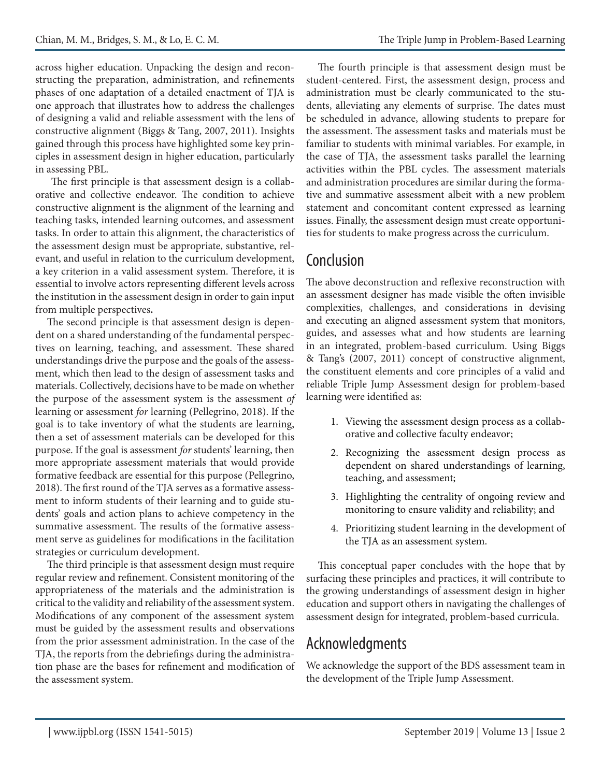across higher education. Unpacking the design and reconstructing the preparation, administration, and refinements phases of one adaptation of a detailed enactment of TJA is one approach that illustrates how to address the challenges of designing a valid and reliable assessment with the lens of constructive alignment (Biggs & Tang, 2007, 2011). Insights gained through this process have highlighted some key principles in assessment design in higher education, particularly in assessing PBL.

The first principle is that assessment design is a collaborative and collective endeavor. The condition to achieve constructive alignment is the alignment of the learning and teaching tasks, intended learning outcomes, and assessment tasks. In order to attain this alignment, the characteristics of the assessment design must be appropriate, substantive, relevant, and useful in relation to the curriculum development, a key criterion in a valid assessment system. Therefore, it is essential to involve actors representing different levels across the institution in the assessment design in order to gain input from multiple perspectives**.** 

The second principle is that assessment design is dependent on a shared understanding of the fundamental perspectives on learning, teaching, and assessment. These shared understandings drive the purpose and the goals of the assessment, which then lead to the design of assessment tasks and materials. Collectively, decisions have to be made on whether the purpose of the assessment system is the assessment *of* learning or assessment *for* learning (Pellegrino, 2018). If the goal is to take inventory of what the students are learning, then a set of assessment materials can be developed for this purpose. If the goal is assessment *for* students' learning, then more appropriate assessment materials that would provide formative feedback are essential for this purpose (Pellegrino, 2018). The first round of the TJA serves as a formative assessment to inform students of their learning and to guide students' goals and action plans to achieve competency in the summative assessment. The results of the formative assessment serve as guidelines for modifications in the facilitation strategies or curriculum development.

The third principle is that assessment design must require regular review and refinement. Consistent monitoring of the appropriateness of the materials and the administration is critical to the validity and reliability of the assessment system. Modifications of any component of the assessment system must be guided by the assessment results and observations from the prior assessment administration. In the case of the TJA, the reports from the debriefings during the administration phase are the bases for refinement and modification of the assessment system.

The fourth principle is that assessment design must be student-centered. First, the assessment design, process and administration must be clearly communicated to the students, alleviating any elements of surprise. The dates must be scheduled in advance, allowing students to prepare for the assessment. The assessment tasks and materials must be familiar to students with minimal variables. For example, in the case of TJA, the assessment tasks parallel the learning activities within the PBL cycles. The assessment materials and administration procedures are similar during the formative and summative assessment albeit with a new problem statement and concomitant content expressed as learning issues. Finally, the assessment design must create opportunities for students to make progress across the curriculum.

# Conclusion

The above deconstruction and reflexive reconstruction with an assessment designer has made visible the often invisible complexities, challenges, and considerations in devising and executing an aligned assessment system that monitors, guides, and assesses what and how students are learning in an integrated, problem-based curriculum. Using Biggs & Tang's (2007, 2011) concept of constructive alignment, the constituent elements and core principles of a valid and reliable Triple Jump Assessment design for problem-based learning were identified as:

- 1. Viewing the assessment design process as a collaborative and collective faculty endeavor;
- 2. Recognizing the assessment design process as dependent on shared understandings of learning, teaching, and assessment;
- 3. Highlighting the centrality of ongoing review and monitoring to ensure validity and reliability; and
- 4. Prioritizing student learning in the development of the TJA as an assessment system.

This conceptual paper concludes with the hope that by surfacing these principles and practices, it will contribute to the growing understandings of assessment design in higher education and support others in navigating the challenges of assessment design for integrated, problem-based curricula.

## Acknowledgments

We acknowledge the support of the BDS assessment team in the development of the Triple Jump Assessment.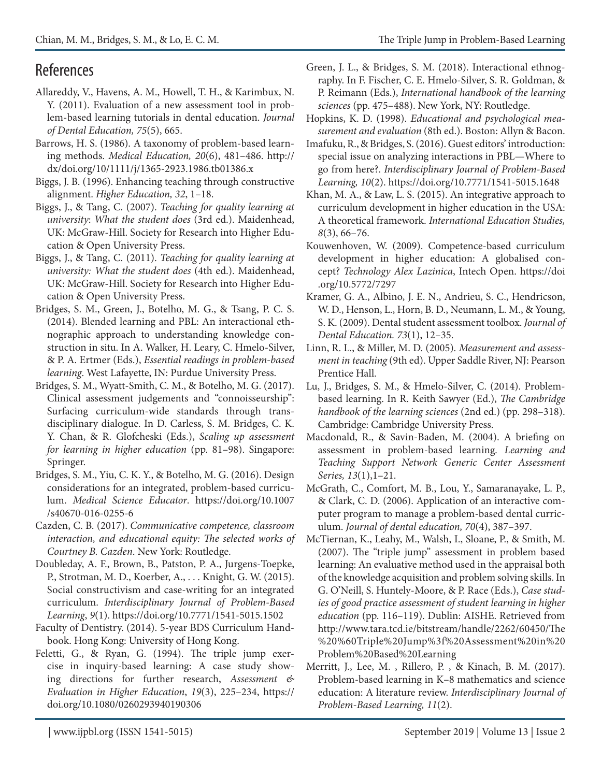# References

- Allareddy, V., Havens, A. M., Howell, T. H., & Karimbux, N. Y. (2011). Evaluation of a new assessment tool in problem-based learning tutorials in dental education. *Journal of Dental Education, 75*(5), 665.
- Barrows, H. S. (1986). A taxonomy of problem-based learning methods. *Medical Education, 20*(6), 481–486. http:// dx/doi.org/10/1111/j/1365-2923.1986.tb01386.x
- Biggs, J. B. (1996). Enhancing teaching through constructive alignment. *Higher Education, 32*, 1–18.
- Biggs, J., & Tang, C. (2007). *Teaching for quality learning at university*: *What the student does* (3rd ed.). Maidenhead, UK: McGraw-Hill. Society for Research into Higher Education & Open University Press.
- Biggs, J., & Tang, C. (2011). *Teaching for quality learning at university: What the student does* (4th ed.). Maidenhead, UK: McGraw-Hill. Society for Research into Higher Education & Open University Press.
- Bridges, S. M., Green, J., Botelho, M. G., & Tsang, P. C. S. (2014). Blended learning and PBL: An interactional ethnographic approach to understanding knowledge construction in situ. In A. Walker, H. Leary, C. Hmelo-Silver, & P. A. Ertmer (Eds.), *Essential readings in problem-based learning*. West Lafayette, IN: Purdue University Press.
- Bridges, S. M., Wyatt-Smith, C. M., & Botelho, M. G. (2017). Clinical assessment judgements and "connoisseurship": Surfacing curriculum-wide standards through transdisciplinary dialogue. In D. Carless, S. M. Bridges, C. K. Y. Chan, & R. Glofcheski (Eds.), *Scaling up assessment for learning in higher education* (pp. 81–98). Singapore: Springer.
- Bridges, S. M., Yiu, C. K. Y., & Botelho, M. G. (2016). Design considerations for an integrated, problem-based curriculum. *Medical Science Educator*. https://doi.org/10.1007 /s40670-016-0255-6
- Cazden, C. B. (2017). *Communicative competence, classroom interaction, and educational equity: The selected works of Courtney B. Cazden*. New York: Routledge.
- Doubleday, A. F., Brown, B., Patston, P. A., Jurgens-Toepke, P., Strotman, M. D., Koerber, A., . . . Knight, G. W. (2015). Social constructivism and case-writing for an integrated curriculum. *Interdisciplinary Journal of Problem-Based Learning*, *9*(1). https://doi.org/10.7771/1541-5015.1502
- Faculty of Dentistry. (2014). 5-year BDS Curriculum Handbook. Hong Kong: University of Hong Kong.
- Feletti, G., & Ryan, G. (1994). The triple jump exercise in inquiry‐based learning: A case study showing directions for further research, *Assessment & Evaluation in Higher Education*, *19*(3), 225–234, https:// doi.org/10.1080/0260293940190306
- Green, J. L., & Bridges, S. M. (2018). Interactional ethnography. In F. Fischer, C. E. Hmelo-Silver, S. R. Goldman, & P. Reimann (Eds.), *International handbook of the learning sciences* (pp. 475–488). New York, NY: Routledge.
- Hopkins, K. D. (1998). *Educational and psychological measurement and evaluation* (8th ed.). Boston: Allyn & Bacon.
- Imafuku, R., & Bridges, S. (2016). Guest editors' introduction: special issue on analyzing interactions in PBL—Where to go from here?. *Interdisciplinary Journal of Problem-Based Learning, 10*(2). https://doi.org/10.7771/1541-5015.1648
- Khan, M. A., & Law, L. S. (2015). An integrative approach to curriculum development in higher education in the USA: A theoretical framework. *International Education Studies, 8*(3), 66–76.
- Kouwenhoven, W. (2009). Competence-based curriculum development in higher education: A globalised concept? *Technology Alex Lazinica*, Intech Open. https://doi .org/10.5772/7297
- Kramer, G. A., Albino, J. E. N., Andrieu, S. C., Hendricson, W. D., Henson, L., Horn, B. D., Neumann, L. M., & Young, S. K. (2009). Dental student assessment toolbox. *Journal of Dental Education. 73*(1), 12–35.
- Linn, R. L., & Miller, M. D. (2005). *Measurement and assessment in teaching* (9th ed). Upper Saddle River, NJ: Pearson Prentice Hall.
- Lu, J., Bridges, S. M., & Hmelo-Silver, C. (2014). Problembased learning. In R. Keith Sawyer (Ed.), *The Cambridge handbook of the learning sciences* (2nd ed.) (pp. 298–318). Cambridge: Cambridge University Press.
- Macdonald, R., & Savin-Baden, M. (2004). A briefing on assessment in problem-based learning*. Learning and Teaching Support Network Generic Center Assessment Series, 13*(1),1–21.
- McGrath, C., Comfort, M. B., Lou, Y., Samaranayake, L. P., & Clark, C. D. (2006). Application of an interactive computer program to manage a problem-based dental curriculum. *Journal of dental education, 70*(4), 387–397.
- McTiernan, K., Leahy, M., Walsh, I., Sloane, P., & Smith, M. (2007). The "triple jump" assessment in problem based learning: An evaluative method used in the appraisal both of the knowledge acquisition and problem solving skills. In G. O'Neill, S. Huntely-Moore, & P. Race (Eds.), *Case studies of good practice assessment of student learning in higher education* (pp. 116–119). Dublin: AISHE. Retrieved from http://www.tara.tcd.ie/bitstream/handle/2262/60450/The %20%60Triple%20Jump%3f%20Assessment%20in%20 Problem%20Based%20Learning
- Merritt, J., Lee, M. , Rillero, P. , & Kinach, B. M. (2017). Problem-based learning in K–8 mathematics and science education: A literature review. *Interdisciplinary Journal of Problem-Based Learning, 11*(2).